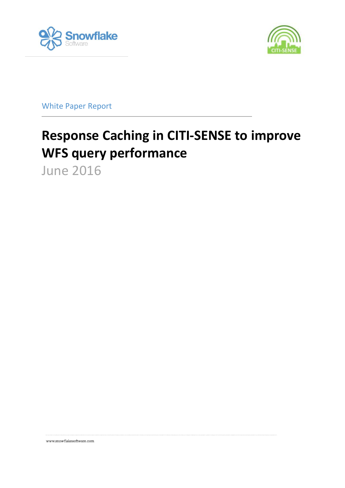



White Paper Report

# **Response Caching in CITI-SENSE to improve WFS query performance**

June 2016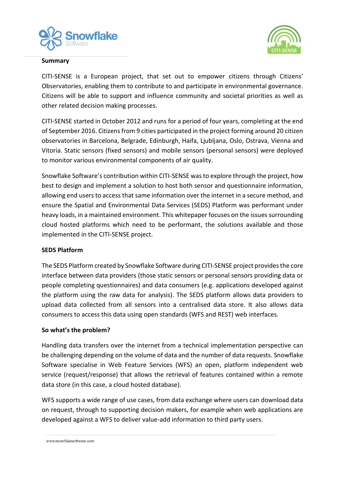



#### **Summary**

CITI-SENSE is a European project, that set out to empower citizens through Citizens' Observatories, enabling them to contribute to and participate in environmental governance. Citizens will be able to support and influence community and societal priorities as well as other related decision making processes.

CITI-SENSE started in October 2012 and runs for a period of four years, completing at the end of September 2016. Citizens from 9 cities participated in the project forming around 20 citizen observatories in Barcelona, Belgrade, Edinburgh, Haifa, Ljubljana, Oslo, Ostrava, Vienna and Vitoria. Static sensors (fixed sensors) and mobile sensors (personal sensors) were deployed to monitor various environmental components of air quality.

Snowflake Software's contribution within CITI-SENSE was to explore through the project, how best to design and implement a solution to host both sensor and questionnaire information, allowing end users to access that same information over the internet in a secure method, and ensure the Spatial and Environmental Data Services (SEDS) Platform was performant under heavy loads, in a maintained environment. This whitepaper focuses on the issues surrounding cloud hosted platforms which need to be performant, the solutions available and those implemented in the CITI-SENSE project.

### **SEDS Platform**

The SEDS Platform created by Snowflake Software during CITI-SENSE project provides the core interface between data providers (those static sensors or personal sensors providing data or people completing questionnaires) and data consumers (e.g. applications developed against the platform using the raw data for analysis). The SEDS platform allows data providers to upload data collected from all sensors into a centralised data store. It also allows data consumers to access this data using open standards (WFS and REST) web interfaces.

#### **So what's the problem?**

Handling data transfers over the internet from a technical implementation perspective can be challenging depending on the volume of data and the number of data requests. Snowflake Software specialise in Web Feature Services (WFS) an open, platform independent web service (request/response) that allows the retrieval of features contained within a remote data store (in this case, a cloud hosted database).

WFS supports a wide range of use cases, from data exchange where users can download data on request, through to supporting decision makers, for example when web applications are developed against a WFS to deliver value-add information to third party users.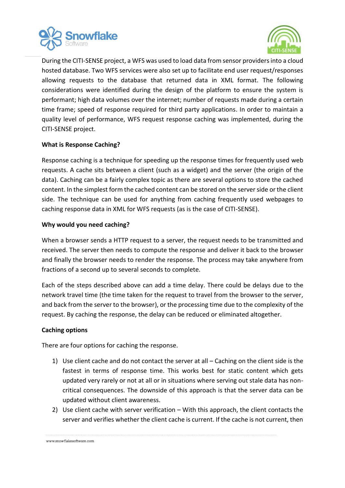



During the CITI-SENSE project, a WFS was used to load data from sensor providers into a cloud hosted database. Two WFS services were also set up to facilitate end user request/responses allowing requests to the database that returned data in XML format. The following considerations were identified during the design of the platform to ensure the system is performant; high data volumes over the internet; number of requests made during a certain time frame; speed of response required for third party applications. In order to maintain a quality level of performance, WFS request response caching was implemented, during the CITI-SENSE project.

## **What is Response Caching?**

Response caching is a technique for speeding up the response times for frequently used web requests. A cache sits between a client (such as a widget) and the server (the origin of the data). Caching can be a fairly complex topic as there are several options to store the cached content. In the simplest form the cached content can be stored on the server side or the client side. The technique can be used for anything from caching frequently used webpages to caching response data in XML for WFS requests (as is the case of CITI-SENSE).

### **Why would you need caching?**

When a browser sends a HTTP request to a server, the request needs to be transmitted and received. The server then needs to compute the response and deliver it back to the browser and finally the browser needs to render the response. The process may take anywhere from fractions of a second up to several seconds to complete.

Each of the steps described above can add a time delay. There could be delays due to the network travel time (the time taken for the request to travel from the browser to the server, and back from the server to the browser), or the processing time due to the complexity of the request. By caching the response, the delay can be reduced or eliminated altogether.

### **Caching options**

There are four options for caching the response.

- 1) Use client cache and do not contact the server at all Caching on the client side is the fastest in terms of response time. This works best for static content which gets updated very rarely or not at all or in situations where serving out stale data has noncritical consequences. The downside of this approach is that the server data can be updated without client awareness.
- 2) Use client cache with server verification With this approach, the client contacts the server and verifies whether the client cache is current. If the cache is not current, then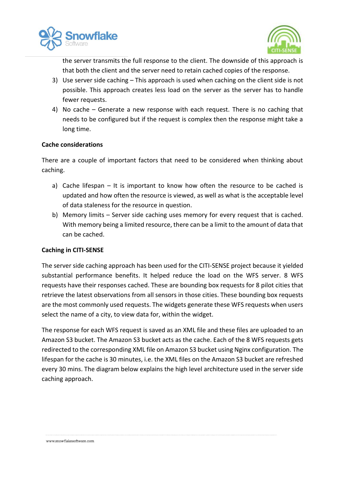



the server transmits the full response to the client. The downside of this approach is that both the client and the server need to retain cached copies of the response.

- 3) Use server side caching This approach is used when caching on the client side is not possible. This approach creates less load on the server as the server has to handle fewer requests.
- 4) No cache Generate a new response with each request. There is no caching that needs to be configured but if the request is complex then the response might take a long time.

### **Cache considerations**

There are a couple of important factors that need to be considered when thinking about caching.

- a) Cache lifespan It is important to know how often the resource to be cached is updated and how often the resource is viewed, as well as what is the acceptable level of data staleness for the resource in question.
- b) Memory limits Server side caching uses memory for every request that is cached. With memory being a limited resource, there can be a limit to the amount of data that can be cached.

### **Caching in CITI-SENSE**

The server side caching approach has been used for the CITI-SENSE project because it yielded substantial performance benefits. It helped reduce the load on the WFS server. 8 WFS requests have their responses cached. These are bounding box requests for 8 pilot cities that retrieve the latest observations from all sensors in those cities. These bounding box requests are the most commonly used requests. The widgets generate these WFS requests when users select the name of a city, to view data for, within the widget.

The response for each WFS request is saved as an XML file and these files are uploaded to an Amazon S3 bucket. The Amazon S3 bucket acts as the cache. Each of the 8 WFS requests gets redirected to the corresponding XML file on Amazon S3 bucket using Nginx configuration. The lifespan for the cache is 30 minutes, i.e. the XML files on the Amazon S3 bucket are refreshed every 30 mins. The diagram below explains the high level architecture used in the server side caching approach.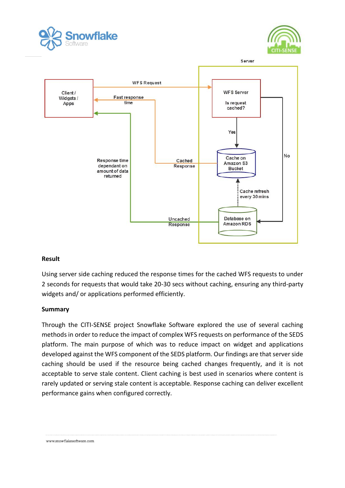





### **Result**

Using server side caching reduced the response times for the cached WFS requests to under 2 seconds for requests that would take 20-30 secs without caching, ensuring any third-party widgets and/ or applications performed efficiently.

### **Summary**

Through the CITI-SENSE project Snowflake Software explored the use of several caching methods in order to reduce the impact of complex WFS requests on performance of the SEDS platform. The main purpose of which was to reduce impact on widget and applications developed against the WFS component of the SEDS platform. Our findings are that server side caching should be used if the resource being cached changes frequently, and it is not acceptable to serve stale content. Client caching is best used in scenarios where content is rarely updated or serving stale content is acceptable. Response caching can deliver excellent performance gains when configured correctly.